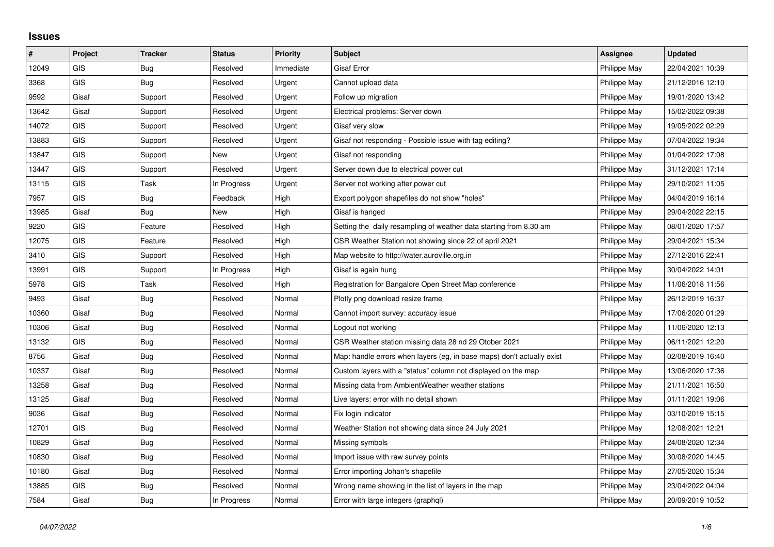## **Issues**

| $\vert$ # | Project    | <b>Tracker</b> | <b>Status</b> | <b>Priority</b> | Subject                                                                | Assignee     | <b>Updated</b>   |
|-----------|------------|----------------|---------------|-----------------|------------------------------------------------------------------------|--------------|------------------|
| 12049     | GIS        | <b>Bug</b>     | Resolved      | Immediate       | <b>Gisaf Error</b>                                                     | Philippe May | 22/04/2021 10:39 |
| 3368      | <b>GIS</b> | Bug            | Resolved      | Urgent          | Cannot upload data                                                     | Philippe May | 21/12/2016 12:10 |
| 9592      | Gisaf      | Support        | Resolved      | Urgent          | Follow up migration                                                    | Philippe May | 19/01/2020 13:42 |
| 13642     | Gisaf      | Support        | Resolved      | Urgent          | Electrical problems: Server down                                       | Philippe May | 15/02/2022 09:38 |
| 14072     | GIS        | Support        | Resolved      | Urgent          | Gisaf very slow                                                        | Philippe May | 19/05/2022 02:29 |
| 13883     | <b>GIS</b> | Support        | Resolved      | Urgent          | Gisaf not responding - Possible issue with tag editing?                | Philippe May | 07/04/2022 19:34 |
| 13847     | GIS        | Support        | New           | Urgent          | Gisaf not responding                                                   | Philippe May | 01/04/2022 17:08 |
| 13447     | <b>GIS</b> | Support        | Resolved      | Urgent          | Server down due to electrical power cut                                | Philippe May | 31/12/2021 17:14 |
| 13115     | <b>GIS</b> | Task           | In Progress   | Urgent          | Server not working after power cut                                     | Philippe May | 29/10/2021 11:05 |
| 7957      | GIS        | Bug            | Feedback      | High            | Export polygon shapefiles do not show "holes"                          | Philippe May | 04/04/2019 16:14 |
| 13985     | Gisaf      | Bug            | New           | High            | Gisaf is hanged                                                        | Philippe May | 29/04/2022 22:15 |
| 9220      | <b>GIS</b> | Feature        | Resolved      | High            | Setting the daily resampling of weather data starting from 8.30 am     | Philippe May | 08/01/2020 17:57 |
| 12075     | GIS        | Feature        | Resolved      | High            | CSR Weather Station not showing since 22 of april 2021                 | Philippe May | 29/04/2021 15:34 |
| 3410      | <b>GIS</b> | Support        | Resolved      | High            | Map website to http://water.auroville.org.in                           | Philippe May | 27/12/2016 22:41 |
| 13991     | <b>GIS</b> | Support        | In Progress   | High            | Gisaf is again hung                                                    | Philippe May | 30/04/2022 14:01 |
| 5978      | <b>GIS</b> | Task           | Resolved      | High            | Registration for Bangalore Open Street Map conference                  | Philippe May | 11/06/2018 11:56 |
| 9493      | Gisaf      | Bug            | Resolved      | Normal          | Plotly png download resize frame                                       | Philippe May | 26/12/2019 16:37 |
| 10360     | Gisaf      | Bug            | Resolved      | Normal          | Cannot import survey: accuracy issue                                   | Philippe May | 17/06/2020 01:29 |
| 10306     | Gisaf      | Bug            | Resolved      | Normal          | Logout not working                                                     | Philippe May | 11/06/2020 12:13 |
| 13132     | <b>GIS</b> | Bug            | Resolved      | Normal          | CSR Weather station missing data 28 nd 29 Otober 2021                  | Philippe May | 06/11/2021 12:20 |
| 8756      | Gisaf      | Bug            | Resolved      | Normal          | Map: handle errors when layers (eg, in base maps) don't actually exist | Philippe May | 02/08/2019 16:40 |
| 10337     | Gisaf      | Bug            | Resolved      | Normal          | Custom layers with a "status" column not displayed on the map          | Philippe May | 13/06/2020 17:36 |
| 13258     | Gisaf      | Bug            | Resolved      | Normal          | Missing data from AmbientWeather weather stations                      | Philippe May | 21/11/2021 16:50 |
| 13125     | Gisaf      | <b>Bug</b>     | Resolved      | Normal          | Live layers: error with no detail shown                                | Philippe May | 01/11/2021 19:06 |
| 9036      | Gisaf      | Bug            | Resolved      | Normal          | Fix login indicator                                                    | Philippe May | 03/10/2019 15:15 |
| 12701     | <b>GIS</b> | Bug            | Resolved      | Normal          | Weather Station not showing data since 24 July 2021                    | Philippe May | 12/08/2021 12:21 |
| 10829     | Gisaf      | <b>Bug</b>     | Resolved      | Normal          | Missing symbols                                                        | Philippe May | 24/08/2020 12:34 |
| 10830     | Gisaf      | Bug            | Resolved      | Normal          | Import issue with raw survey points                                    | Philippe May | 30/08/2020 14:45 |
| 10180     | Gisaf      | Bug            | Resolved      | Normal          | Error importing Johan's shapefile                                      | Philippe May | 27/05/2020 15:34 |
| 13885     | <b>GIS</b> | Bug            | Resolved      | Normal          | Wrong name showing in the list of layers in the map                    | Philippe May | 23/04/2022 04:04 |
| 7584      | Gisaf      | Bug            | In Progress   | Normal          | Error with large integers (graphql)                                    | Philippe May | 20/09/2019 10:52 |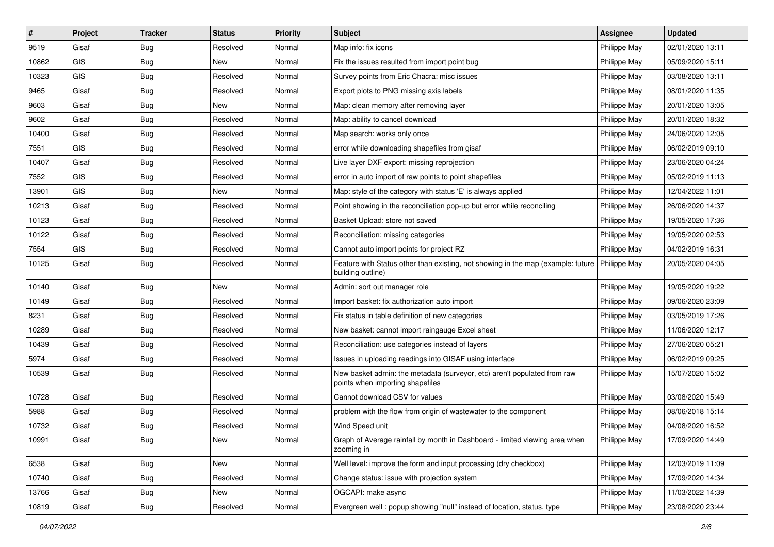| #     | Project    | <b>Tracker</b> | <b>Status</b> | <b>Priority</b> | <b>Subject</b>                                                                                                       | Assignee     | <b>Updated</b>   |
|-------|------------|----------------|---------------|-----------------|----------------------------------------------------------------------------------------------------------------------|--------------|------------------|
| 9519  | Gisaf      | <b>Bug</b>     | Resolved      | Normal          | Map info: fix icons                                                                                                  | Philippe May | 02/01/2020 13:11 |
| 10862 | <b>GIS</b> | <b>Bug</b>     | <b>New</b>    | Normal          | Fix the issues resulted from import point bug                                                                        | Philippe May | 05/09/2020 15:11 |
| 10323 | <b>GIS</b> | <b>Bug</b>     | Resolved      | Normal          | Survey points from Eric Chacra: misc issues                                                                          | Philippe May | 03/08/2020 13:11 |
| 9465  | Gisaf      | <b>Bug</b>     | Resolved      | Normal          | Export plots to PNG missing axis labels                                                                              | Philippe May | 08/01/2020 11:35 |
| 9603  | Gisaf      | Bug            | <b>New</b>    | Normal          | Map: clean memory after removing layer                                                                               | Philippe May | 20/01/2020 13:05 |
| 9602  | Gisaf      | <b>Bug</b>     | Resolved      | Normal          | Map: ability to cancel download                                                                                      | Philippe May | 20/01/2020 18:32 |
| 10400 | Gisaf      | Bug            | Resolved      | Normal          | Map search: works only once                                                                                          | Philippe May | 24/06/2020 12:05 |
| 7551  | <b>GIS</b> | <b>Bug</b>     | Resolved      | Normal          | error while downloading shapefiles from gisaf                                                                        | Philippe May | 06/02/2019 09:10 |
| 10407 | Gisaf      | <b>Bug</b>     | Resolved      | Normal          | Live layer DXF export: missing reprojection                                                                          | Philippe May | 23/06/2020 04:24 |
| 7552  | GIS        | Bug            | Resolved      | Normal          | error in auto import of raw points to point shapefiles                                                               | Philippe May | 05/02/2019 11:13 |
| 13901 | <b>GIS</b> | <b>Bug</b>     | <b>New</b>    | Normal          | Map: style of the category with status 'E' is always applied                                                         | Philippe May | 12/04/2022 11:01 |
| 10213 | Gisaf      | <b>Bug</b>     | Resolved      | Normal          | Point showing in the reconciliation pop-up but error while reconciling                                               | Philippe May | 26/06/2020 14:37 |
| 10123 | Gisaf      | <b>Bug</b>     | Resolved      | Normal          | Basket Upload: store not saved                                                                                       | Philippe May | 19/05/2020 17:36 |
| 10122 | Gisaf      | <b>Bug</b>     | Resolved      | Normal          | Reconciliation: missing categories                                                                                   | Philippe May | 19/05/2020 02:53 |
| 7554  | GIS        | Bug            | Resolved      | Normal          | Cannot auto import points for project RZ                                                                             | Philippe May | 04/02/2019 16:31 |
| 10125 | Gisaf      | Bug            | Resolved      | Normal          | Feature with Status other than existing, not showing in the map (example: future   Philippe May<br>building outline) |              | 20/05/2020 04:05 |
| 10140 | Gisaf      | Bug            | <b>New</b>    | Normal          | Admin: sort out manager role                                                                                         | Philippe May | 19/05/2020 19:22 |
| 10149 | Gisaf      | <b>Bug</b>     | Resolved      | Normal          | Import basket: fix authorization auto import                                                                         | Philippe May | 09/06/2020 23:09 |
| 8231  | Gisaf      | <b>Bug</b>     | Resolved      | Normal          | Fix status in table definition of new categories                                                                     | Philippe May | 03/05/2019 17:26 |
| 10289 | Gisaf      | Bug            | Resolved      | Normal          | New basket: cannot import raingauge Excel sheet                                                                      | Philippe May | 11/06/2020 12:17 |
| 10439 | Gisaf      | <b>Bug</b>     | Resolved      | Normal          | Reconciliation: use categories instead of layers                                                                     | Philippe May | 27/06/2020 05:21 |
| 5974  | Gisaf      | Bug            | Resolved      | Normal          | Issues in uploading readings into GISAF using interface                                                              | Philippe May | 06/02/2019 09:25 |
| 10539 | Gisaf      | Bug            | Resolved      | Normal          | New basket admin: the metadata (surveyor, etc) aren't populated from raw<br>points when importing shapefiles         | Philippe May | 15/07/2020 15:02 |
| 10728 | Gisaf      | Bug            | Resolved      | Normal          | Cannot download CSV for values                                                                                       | Philippe May | 03/08/2020 15:49 |
| 5988  | Gisaf      | <b>Bug</b>     | Resolved      | Normal          | problem with the flow from origin of wastewater to the component                                                     | Philippe May | 08/06/2018 15:14 |
| 10732 | Gisaf      | <b>Bug</b>     | Resolved      | Normal          | Wind Speed unit                                                                                                      | Philippe May | 04/08/2020 16:52 |
| 10991 | Gisaf      | <b>Bug</b>     | New           | Normal          | Graph of Average rainfall by month in Dashboard - limited viewing area when<br>zooming in                            | Philippe May | 17/09/2020 14:49 |
| 6538  | Gisaf      | <b>Bug</b>     | New           | Normal          | Well level: improve the form and input processing (dry checkbox)                                                     | Philippe May | 12/03/2019 11:09 |
| 10740 | Gisaf      | <b>Bug</b>     | Resolved      | Normal          | Change status: issue with projection system                                                                          | Philippe May | 17/09/2020 14:34 |
| 13766 | Gisaf      | <b>Bug</b>     | New           | Normal          | OGCAPI: make async                                                                                                   | Philippe May | 11/03/2022 14:39 |
| 10819 | Gisaf      | Bug            | Resolved      | Normal          | Evergreen well: popup showing "null" instead of location, status, type                                               | Philippe May | 23/08/2020 23:44 |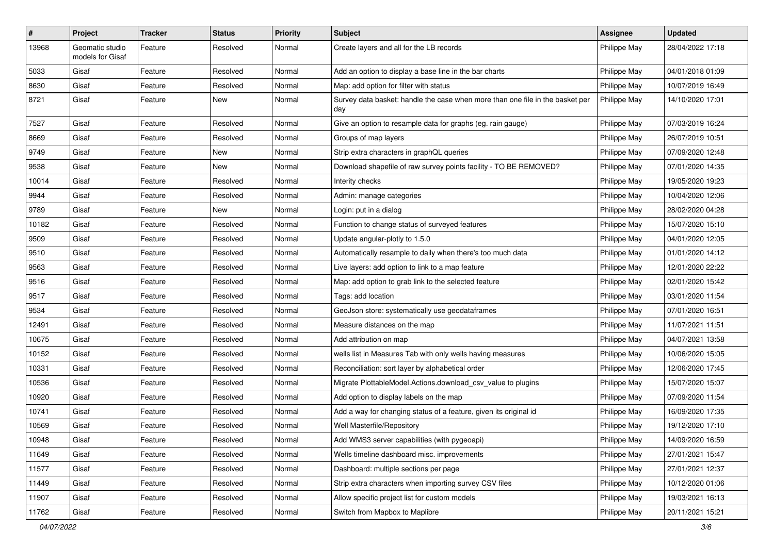| $\sharp$ | Project                             | <b>Tracker</b> | <b>Status</b> | <b>Priority</b> | <b>Subject</b>                                                                       | <b>Assignee</b> | <b>Updated</b>   |
|----------|-------------------------------------|----------------|---------------|-----------------|--------------------------------------------------------------------------------------|-----------------|------------------|
| 13968    | Geomatic studio<br>models for Gisaf | Feature        | Resolved      | Normal          | Create layers and all for the LB records                                             | Philippe May    | 28/04/2022 17:18 |
| 5033     | Gisaf                               | Feature        | Resolved      | Normal          | Add an option to display a base line in the bar charts                               | Philippe May    | 04/01/2018 01:09 |
| 8630     | Gisaf                               | Feature        | Resolved      | Normal          | Map: add option for filter with status                                               | Philippe May    | 10/07/2019 16:49 |
| 8721     | Gisaf                               | Feature        | New           | Normal          | Survey data basket: handle the case when more than one file in the basket per<br>day | Philippe May    | 14/10/2020 17:01 |
| 7527     | Gisaf                               | Feature        | Resolved      | Normal          | Give an option to resample data for graphs (eg. rain gauge)                          | Philippe May    | 07/03/2019 16:24 |
| 8669     | Gisaf                               | Feature        | Resolved      | Normal          | Groups of map layers                                                                 | Philippe May    | 26/07/2019 10:51 |
| 9749     | Gisaf                               | Feature        | New           | Normal          | Strip extra characters in graphQL queries                                            | Philippe May    | 07/09/2020 12:48 |
| 9538     | Gisaf                               | Feature        | New           | Normal          | Download shapefile of raw survey points facility - TO BE REMOVED?                    | Philippe May    | 07/01/2020 14:35 |
| 10014    | Gisaf                               | Feature        | Resolved      | Normal          | Interity checks                                                                      | Philippe May    | 19/05/2020 19:23 |
| 9944     | Gisaf                               | Feature        | Resolved      | Normal          | Admin: manage categories                                                             | Philippe May    | 10/04/2020 12:06 |
| 9789     | Gisaf                               | Feature        | New           | Normal          | Login: put in a dialog                                                               | Philippe May    | 28/02/2020 04:28 |
| 10182    | Gisaf                               | Feature        | Resolved      | Normal          | Function to change status of surveyed features                                       | Philippe May    | 15/07/2020 15:10 |
| 9509     | Gisaf                               | Feature        | Resolved      | Normal          | Update angular-plotly to 1.5.0                                                       | Philippe May    | 04/01/2020 12:05 |
| 9510     | Gisaf                               | Feature        | Resolved      | Normal          | Automatically resample to daily when there's too much data                           | Philippe May    | 01/01/2020 14:12 |
| 9563     | Gisaf                               | Feature        | Resolved      | Normal          | Live layers: add option to link to a map feature                                     | Philippe May    | 12/01/2020 22:22 |
| 9516     | Gisaf                               | Feature        | Resolved      | Normal          | Map: add option to grab link to the selected feature                                 | Philippe May    | 02/01/2020 15:42 |
| 9517     | Gisaf                               | Feature        | Resolved      | Normal          | Tags: add location                                                                   | Philippe May    | 03/01/2020 11:54 |
| 9534     | Gisaf                               | Feature        | Resolved      | Normal          | GeoJson store: systematically use geodataframes                                      | Philippe May    | 07/01/2020 16:51 |
| 12491    | Gisaf                               | Feature        | Resolved      | Normal          | Measure distances on the map                                                         | Philippe May    | 11/07/2021 11:51 |
| 10675    | Gisaf                               | Feature        | Resolved      | Normal          | Add attribution on map                                                               | Philippe May    | 04/07/2021 13:58 |
| 10152    | Gisaf                               | Feature        | Resolved      | Normal          | wells list in Measures Tab with only wells having measures                           | Philippe May    | 10/06/2020 15:05 |
| 10331    | Gisaf                               | Feature        | Resolved      | Normal          | Reconciliation: sort layer by alphabetical order                                     | Philippe May    | 12/06/2020 17:45 |
| 10536    | Gisaf                               | Feature        | Resolved      | Normal          | Migrate PlottableModel.Actions.download_csv_value to plugins                         | Philippe May    | 15/07/2020 15:07 |
| 10920    | Gisaf                               | Feature        | Resolved      | Normal          | Add option to display labels on the map                                              | Philippe May    | 07/09/2020 11:54 |
| 10741    | Gisaf                               | Feature        | Resolved      | Normal          | Add a way for changing status of a feature, given its original id                    | Philippe May    | 16/09/2020 17:35 |
| 10569    | Gisaf                               | Feature        | Resolved      | Normal          | Well Masterfile/Repository                                                           | Philippe May    | 19/12/2020 17:10 |
| 10948    | Gisaf                               | Feature        | Resolved      | Normal          | Add WMS3 server capabilities (with pygeoapi)                                         | Philippe May    | 14/09/2020 16:59 |
| 11649    | Gisaf                               | Feature        | Resolved      | Normal          | Wells timeline dashboard misc. improvements                                          | Philippe May    | 27/01/2021 15:47 |
| 11577    | Gisaf                               | Feature        | Resolved      | Normal          | Dashboard: multiple sections per page                                                | Philippe May    | 27/01/2021 12:37 |
| 11449    | Gisaf                               | Feature        | Resolved      | Normal          | Strip extra characters when importing survey CSV files                               | Philippe May    | 10/12/2020 01:06 |
| 11907    | Gisaf                               | Feature        | Resolved      | Normal          | Allow specific project list for custom models                                        | Philippe May    | 19/03/2021 16:13 |
| 11762    | Gisaf                               | Feature        | Resolved      | Normal          | Switch from Mapbox to Maplibre                                                       | Philippe May    | 20/11/2021 15:21 |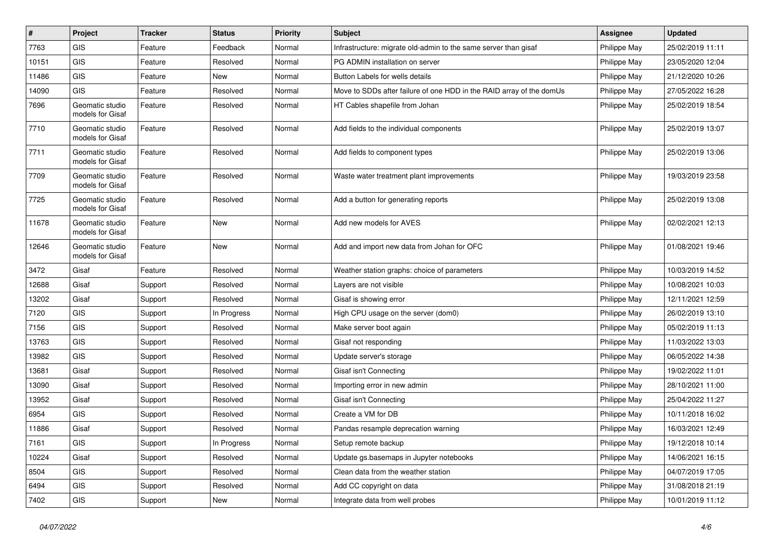| $\vert$ # | Project                             | <b>Tracker</b> | <b>Status</b> | <b>Priority</b> | <b>Subject</b>                                                       | <b>Assignee</b> | <b>Updated</b>   |
|-----------|-------------------------------------|----------------|---------------|-----------------|----------------------------------------------------------------------|-----------------|------------------|
| 7763      | <b>GIS</b>                          | Feature        | Feedback      | Normal          | Infrastructure: migrate old-admin to the same server than gisaf      | Philippe May    | 25/02/2019 11:11 |
| 10151     | GIS                                 | Feature        | Resolved      | Normal          | PG ADMIN installation on server                                      | Philippe May    | 23/05/2020 12:04 |
| 11486     | <b>GIS</b>                          | Feature        | New           | Normal          | Button Labels for wells details                                      | Philippe May    | 21/12/2020 10:26 |
| 14090     | GIS                                 | Feature        | Resolved      | Normal          | Move to SDDs after failure of one HDD in the RAID array of the domUs | Philippe May    | 27/05/2022 16:28 |
| 7696      | Geomatic studio<br>models for Gisaf | Feature        | Resolved      | Normal          | HT Cables shapefile from Johan                                       | Philippe May    | 25/02/2019 18:54 |
| 7710      | Geomatic studio<br>models for Gisaf | Feature        | Resolved      | Normal          | Add fields to the individual components                              | Philippe May    | 25/02/2019 13:07 |
| 7711      | Geomatic studio<br>models for Gisaf | Feature        | Resolved      | Normal          | Add fields to component types                                        | Philippe May    | 25/02/2019 13:06 |
| 7709      | Geomatic studio<br>models for Gisaf | Feature        | Resolved      | Normal          | Waste water treatment plant improvements                             | Philippe May    | 19/03/2019 23:58 |
| 7725      | Geomatic studio<br>models for Gisaf | Feature        | Resolved      | Normal          | Add a button for generating reports                                  | Philippe May    | 25/02/2019 13:08 |
| 11678     | Geomatic studio<br>models for Gisaf | Feature        | New           | Normal          | Add new models for AVES                                              | Philippe May    | 02/02/2021 12:13 |
| 12646     | Geomatic studio<br>models for Gisaf | Feature        | <b>New</b>    | Normal          | Add and import new data from Johan for OFC                           | Philippe May    | 01/08/2021 19:46 |
| 3472      | Gisaf                               | Feature        | Resolved      | Normal          | Weather station graphs: choice of parameters                         | Philippe May    | 10/03/2019 14:52 |
| 12688     | Gisaf                               | Support        | Resolved      | Normal          | Layers are not visible                                               | Philippe May    | 10/08/2021 10:03 |
| 13202     | Gisaf                               | Support        | Resolved      | Normal          | Gisaf is showing error                                               | Philippe May    | 12/11/2021 12:59 |
| 7120      | GIS                                 | Support        | In Progress   | Normal          | High CPU usage on the server (dom0)                                  | Philippe May    | 26/02/2019 13:10 |
| 7156      | GIS                                 | Support        | Resolved      | Normal          | Make server boot again                                               | Philippe May    | 05/02/2019 11:13 |
| 13763     | GIS                                 | Support        | Resolved      | Normal          | Gisaf not responding                                                 | Philippe May    | 11/03/2022 13:03 |
| 13982     | GIS                                 | Support        | Resolved      | Normal          | Update server's storage                                              | Philippe May    | 06/05/2022 14:38 |
| 13681     | Gisaf                               | Support        | Resolved      | Normal          | Gisaf isn't Connecting                                               | Philippe May    | 19/02/2022 11:01 |
| 13090     | Gisaf                               | Support        | Resolved      | Normal          | Importing error in new admin                                         | Philippe May    | 28/10/2021 11:00 |
| 13952     | Gisaf                               | Support        | Resolved      | Normal          | Gisaf isn't Connecting                                               | Philippe May    | 25/04/2022 11:27 |
| 6954      | <b>GIS</b>                          | Support        | Resolved      | Normal          | Create a VM for DB                                                   | Philippe May    | 10/11/2018 16:02 |
| 11886     | Gisaf                               | Support        | Resolved      | Normal          | Pandas resample deprecation warning                                  | Philippe May    | 16/03/2021 12:49 |
| 7161      | GIS                                 | Support        | In Progress   | Normal          | Setup remote backup                                                  | Philippe May    | 19/12/2018 10:14 |
| 10224     | Gisaf                               | Support        | Resolved      | Normal          | Update gs.basemaps in Jupyter notebooks                              | Philippe May    | 14/06/2021 16:15 |
| 8504      | GIS                                 | Support        | Resolved      | Normal          | Clean data from the weather station                                  | Philippe May    | 04/07/2019 17:05 |
| 6494      | GIS                                 | Support        | Resolved      | Normal          | Add CC copyright on data                                             | Philippe May    | 31/08/2018 21:19 |
| 7402      | GIS                                 | Support        | New           | Normal          | Integrate data from well probes                                      | Philippe May    | 10/01/2019 11:12 |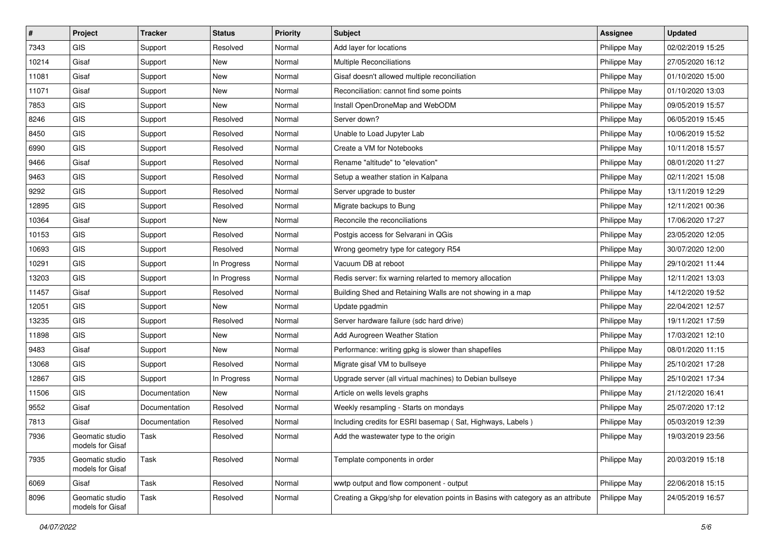| #     | Project                             | <b>Tracker</b> | <b>Status</b> | <b>Priority</b> | Subject                                                                          | <b>Assignee</b> | <b>Updated</b>   |
|-------|-------------------------------------|----------------|---------------|-----------------|----------------------------------------------------------------------------------|-----------------|------------------|
| 7343  | <b>GIS</b>                          | Support        | Resolved      | Normal          | Add layer for locations                                                          | Philippe May    | 02/02/2019 15:25 |
| 10214 | Gisaf                               | Support        | <b>New</b>    | Normal          | <b>Multiple Reconciliations</b>                                                  | Philippe May    | 27/05/2020 16:12 |
| 11081 | Gisaf                               | Support        | New           | Normal          | Gisaf doesn't allowed multiple reconciliation                                    | Philippe May    | 01/10/2020 15:00 |
| 11071 | Gisaf                               | Support        | New           | Normal          | Reconciliation: cannot find some points                                          | Philippe May    | 01/10/2020 13:03 |
| 7853  | GIS                                 | Support        | <b>New</b>    | Normal          | Install OpenDroneMap and WebODM                                                  | Philippe May    | 09/05/2019 15:57 |
| 8246  | <b>GIS</b>                          | Support        | Resolved      | Normal          | Server down?                                                                     | Philippe May    | 06/05/2019 15:45 |
| 8450  | GIS                                 | Support        | Resolved      | Normal          | Unable to Load Jupyter Lab                                                       | Philippe May    | 10/06/2019 15:52 |
| 6990  | GIS                                 | Support        | Resolved      | Normal          | Create a VM for Notebooks                                                        | Philippe May    | 10/11/2018 15:57 |
| 9466  | Gisaf                               | Support        | Resolved      | Normal          | Rename "altitude" to "elevation"                                                 | Philippe May    | 08/01/2020 11:27 |
| 9463  | <b>GIS</b>                          | Support        | Resolved      | Normal          | Setup a weather station in Kalpana                                               | Philippe May    | 02/11/2021 15:08 |
| 9292  | <b>GIS</b>                          | Support        | Resolved      | Normal          | Server upgrade to buster                                                         | Philippe May    | 13/11/2019 12:29 |
| 12895 | GIS                                 | Support        | Resolved      | Normal          | Migrate backups to Bung                                                          | Philippe May    | 12/11/2021 00:36 |
| 10364 | Gisaf                               | Support        | New           | Normal          | Reconcile the reconciliations                                                    | Philippe May    | 17/06/2020 17:27 |
| 10153 | GIS                                 | Support        | Resolved      | Normal          | Postgis access for Selvarani in QGis                                             | Philippe May    | 23/05/2020 12:05 |
| 10693 | <b>GIS</b>                          | Support        | Resolved      | Normal          | Wrong geometry type for category R54                                             | Philippe May    | 30/07/2020 12:00 |
| 10291 | <b>GIS</b>                          | Support        | In Progress   | Normal          | Vacuum DB at reboot                                                              | Philippe May    | 29/10/2021 11:44 |
| 13203 | GIS                                 | Support        | In Progress   | Normal          | Redis server: fix warning relarted to memory allocation                          | Philippe May    | 12/11/2021 13:03 |
| 11457 | Gisaf                               | Support        | Resolved      | Normal          | Building Shed and Retaining Walls are not showing in a map                       | Philippe May    | 14/12/2020 19:52 |
| 12051 | GIS                                 | Support        | New           | Normal          | Update pgadmin                                                                   | Philippe May    | 22/04/2021 12:57 |
| 13235 | <b>GIS</b>                          | Support        | Resolved      | Normal          | Server hardware failure (sdc hard drive)                                         | Philippe May    | 19/11/2021 17:59 |
| 11898 | <b>GIS</b>                          | Support        | New           | Normal          | Add Aurogreen Weather Station                                                    | Philippe May    | 17/03/2021 12:10 |
| 9483  | Gisaf                               | Support        | New           | Normal          | Performance: writing gpkg is slower than shapefiles                              | Philippe May    | 08/01/2020 11:15 |
| 13068 | <b>GIS</b>                          | Support        | Resolved      | Normal          | Migrate gisaf VM to bullseye                                                     | Philippe May    | 25/10/2021 17:28 |
| 12867 | GIS                                 | Support        | In Progress   | Normal          | Upgrade server (all virtual machines) to Debian bullseye                         | Philippe May    | 25/10/2021 17:34 |
| 11506 | <b>GIS</b>                          | Documentation  | New           | Normal          | Article on wells levels graphs                                                   | Philippe May    | 21/12/2020 16:41 |
| 9552  | Gisaf                               | Documentation  | Resolved      | Normal          | Weekly resampling - Starts on mondays                                            | Philippe May    | 25/07/2020 17:12 |
| 7813  | Gisaf                               | Documentation  | Resolved      | Normal          | Including credits for ESRI basemap (Sat, Highways, Labels)                       | Philippe May    | 05/03/2019 12:39 |
| 7936  | Geomatic studio<br>models for Gisaf | Task           | Resolved      | Normal          | Add the wastewater type to the origin                                            | Philippe May    | 19/03/2019 23:56 |
| 7935  | Geomatic studio<br>models for Gisaf | Task           | Resolved      | Normal          | Template components in order                                                     | Philippe May    | 20/03/2019 15:18 |
| 6069  | Gisaf                               | Task           | Resolved      | Normal          | wwtp output and flow component - output                                          | Philippe May    | 22/06/2018 15:15 |
| 8096  | Geomatic studio<br>models for Gisaf | Task           | Resolved      | Normal          | Creating a Gkpg/shp for elevation points in Basins with category as an attribute | Philippe May    | 24/05/2019 16:57 |